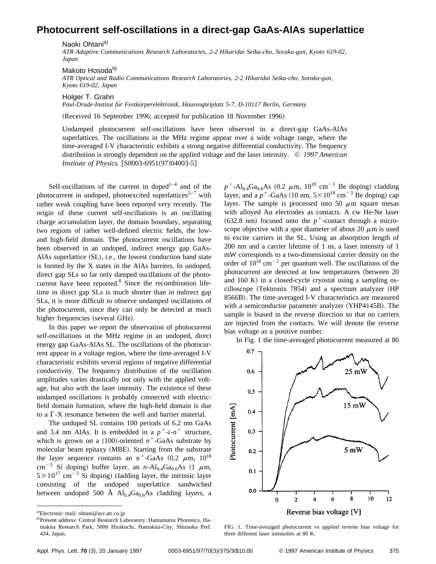## **Photocurrent self-oscillations in a direct-gap GaAs-AlAs superlattice**

Naoki Ohtani<sup>a)</sup>

*ATR Adaptive Communications Research Laboratories, 2-2 Hikaridai Seika-cho, Soraku-gun, Kyoto 619-02, Japan*

Makoto Hosoda<sup>b)</sup> *ATR Optical and Radio Communications Research Laboratories, 2-2 Hikaridai Seika-cho, Soraku-gun, Kyoto 619-02, Japan*

Holger T. Grahn

*Paul-Drude-Institut fu¨r Festko¨rperelektronik, Hausvogteiplatz 5-7, D-10117 Berlin, Germany*

(Received 16 September 1996; accepted for publication 18 November 1996)

Undamped photocurrent self-oscillations have been observed in a direct-gap GaAs-AlAs superlattices. The oscillations in the MHz regime appear over a wide voltage range, where the time-averaged I-V characteristic exhibits a strong negative differential conductivity. The frequency distribution is strongly dependent on the applied voltage and the laser intensity. © *1997 American Institute of Physics.* [S0003-6951(97)04003-5]

Self-oscillations of the current in doped<sup> $1-4$ </sup> and of the photocurrent in undoped, photoexcited superlattices<sup>5-7</sup> with rather weak coupling have been reported very recently. The origin of these current self-oscillations is an oscillating charge accumulation layer, the domain boundary, separating two regions of rather well-defined electric fields, the lowand high-field domain. The photocurrent oscillations have been observed in an undoped, indirect energy gap GaAs-AlAs superlattice  $(SL)$ , i.e., the lowest conduction band state is formed by the X states in the AlAs barriers. In undoped, direct gap SLs so far only damped oscillations of the photocurrent have been reported. $8$  Since the recombination lifetime in direct gap SLs is much shorter than in indirect gap SLs, it is more difficult to observe undamped oscillations of the photocurrent, since they can only be detected at much higher frequencies (several GHz).

In this paper we report the observation of photocurrent self-oscillations in the MHz regime in an undoped, direct energy gap GaAs-AlAs SL. The oscillations of the photocurrent appear in a voltage region, where the time-averaged I-V characteristic exhibits several regions of negative differential conductivity. The frequency distribution of the oscillation amplitudes varies drastically not only with the applied voltage, but also with the laser intensity. The existence of these undamped oscillations is probably connected with electricfield domain formation, where the high-field domain is due to a  $\Gamma$ -X resonance between the well and barrier material.

The undoped SL contains 100 periods of 6.2 nm GaAs and 3.4 nm AlAs. It is embedded in a  $p^+$ -*i*- $n^+$  structure, which is grown on a  $(100)$ -oriented  $n^+$ -GaAs substrate by molecular beam epitaxy (MBE). Starting from the substrate the layer sequence contains an  $n^+$ -GaAs  $(0.2 \mu m, 10^{18})$ cm<sup>-3</sup> Si doping) buffer layer, an *n*-Al<sub>0.4</sub>Ga<sub>0.6</sub>As (1  $\mu$ m,  $5 \times 10^{17}$  cm<sup>-3</sup> Si doping) cladding layer, the intrinsic layer consisting of the undoped superlattice sandwiched between undoped 500 Å  $Al_{0.4}Ga_{0.6}As$  cladding layers, a  $p^+$ -Al<sub>0.4</sub>Ga<sub>0.6</sub>As (0.2  $\mu$ m, 10<sup>18</sup> cm<sup>-3</sup> Be doping) cladding layer, and a  $p^+$ -GaAs (10 nm,  $5 \times 10^{18}$  cm<sup>-3</sup> Be doping) cap layer. The sample is processed into 50  $\mu$ m square mesas with alloyed Au electrodes as contacts. A cw He-Ne laser  $(632.8 \text{ nm})$  focused onto the  $p^+$ -contact through a microscope objective with a spot diameter of about 20  $\mu$ m is used to excite carriers in the SL. Using an absorption length of 200 nm and a carrier lifetime of 1 ns, a laser intensity of 1 mW corresponds to a two-dimensional carrier density on the order of  $10^{10}$  cm<sup>-2</sup> per quantum well. The oscillations of the photocurrent are detected at low temperatures (between 20 and  $160$  K) in a closed-cycle cryostat using a sampling os $cilloscope$  (Tektronix 7854) and a spectrum analyzer (HP 8566B). The time-averaged I-V characteristics are measured with a semiconductor parameter analyzer (YHP4145B). The sample is biased in the reverse direction so that no carriers are injected from the contacts. We will denote the reverse bias voltage as a positive number.

In Fig. 1 the time-averaged photocurrent measured at 80



FIG. 1. Time-averaged photocurrent vs applied reverse bias voltage for three different laser intensities at 80 K.

a)Electronic mail: ohtani@acr.atr.co.jp

b)Present address: Central Research Laboratory, Hamamatsu Photonics, Hamakita Research Park, 5000 Hirakuchi, Hamakita-City, Shizuoka Pref. 434, Japan.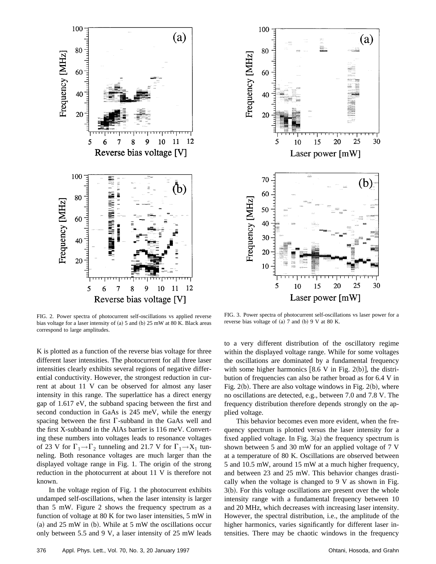



FIG. 2. Power spectra of photocurrent self-oscillations vs applied reverse bias voltage for a laser intensity of  $(a)$  5 and  $(b)$  25 mW at 80 K. Black areas correspond to large amplitudes.

K is plotted as a function of the reverse bias voltage for three different laser intensities. The photocurrent for all three laser intensities clearly exhibits several regions of negative differential conductivity. However, the strongest reduction in current at about 11 V can be observed for almost any laser intensity in this range. The superlattice has a direct energy gap of 1.617 eV, the subband spacing between the first and second conduction in GaAs is 245 meV, while the energy spacing between the first  $\Gamma$ -subband in the GaAs well and the first X-subband in the AlAs barrier is 116 meV. Converting these numbers into voltages leads to resonance voltages of 23 V for  $\Gamma_1 \rightarrow \Gamma_2$  tunneling and 21.7 V for  $\Gamma_1 \rightarrow X_1$  tunneling. Both resonance voltages are much larger than the displayed voltage range in Fig. 1. The origin of the strong reduction in the photocurrent at about 11 V is therefore not known.

In the voltage region of Fig. 1 the photocurrent exhibits undamped self-oscillations, when the laser intensity is larger than 5 mW. Figure 2 shows the frequency spectrum as a function of voltage at 80 K for two laser intensities, 5 mW in (a) and  $25 \text{ mW}$  in (b). While at  $5 \text{ mW}$  the oscillations occur only between 5.5 and 9 V, a laser intensity of 25 mW leads

FIG. 3. Power spectra of photocurrent self-oscillations vs laser power for a reverse bias voltage of  $(a)$  7 and  $(b)$  9 V at 80 K.

to a very different distribution of the oscillatory regime within the displayed voltage range. While for some voltages the oscillations are dominated by a fundamental frequency with some higher harmonics  $[8.6 V$  in Fig. 2(b)], the distribution of frequencies can also be rather broad as for 6.4 V in Fig.  $2(b)$ . There are also voltage windows in Fig.  $2(b)$ , where no oscillations are detected, e.g., between 7.0 and 7.8 V. The frequency distribution therefore depends strongly on the applied voltage.

This behavior becomes even more evident, when the frequency spectrum is plotted versus the laser intensity for a fixed applied voltage. In Fig.  $3(a)$  the frequency spectrum is shown between 5 and 30 mW for an applied voltage of 7 V at a temperature of 80 K. Oscillations are observed between 5 and 10.5 mW, around 15 mW at a much higher frequency, and between 23 and 25 mW. This behavior changes drastically when the voltage is changed to 9 V as shown in Fig.  $3(b)$ . For this voltage oscillations are present over the whole intensity range with a fundamental frequency between 10 and 20 MHz, which decreases with increasing laser intensity. However, the spectral distribution, i.e., the amplitude of the higher harmonics, varies significantly for different laser intensities. There may be chaotic windows in the frequency